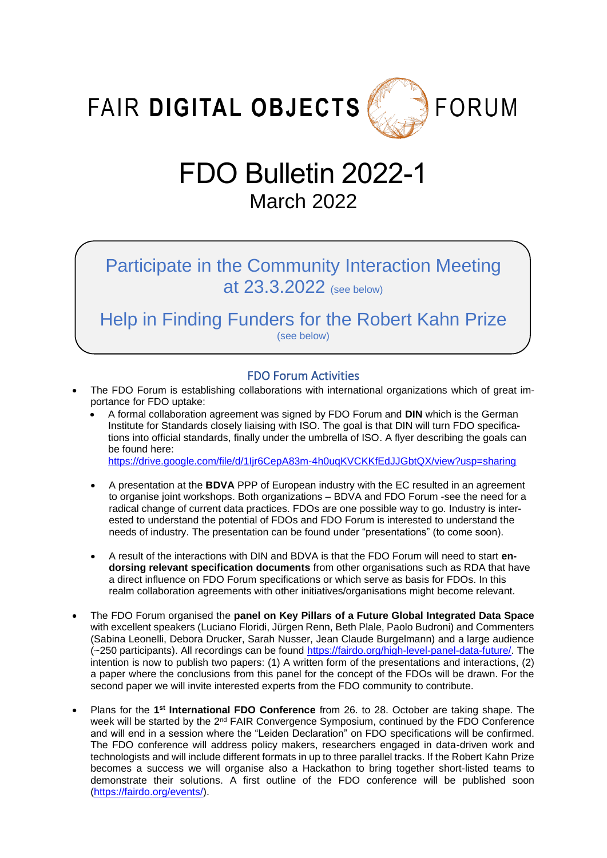FAIR DIGITAL OBJECTS



# FDO Bulletin 2022-1 March 2022

Participate in the Community Interaction Meeting at 23.3.2022 (see below)

Help in Finding Funders for the Robert Kahn Prize (see below)

# FDO Forum Activities

- The FDO Forum is establishing collaborations with international organizations which of great importance for FDO uptake:
	- A formal collaboration agreement was signed by FDO Forum and **DIN** which is the German Institute for Standards closely liaising with ISO. The goal is that DIN will turn FDO specifications into official standards, finally under the umbrella of ISO. A flyer describing the goals can be found here:

<https://drive.google.com/file/d/1Ijr6CepA83m-4h0uqKVCKKfEdJJGbtQX/view?usp=sharing>

- A presentation at the **BDVA** PPP of European industry with the EC resulted in an agreement to organise joint workshops. Both organizations – BDVA and FDO Forum -see the need for a radical change of current data practices. FDOs are one possible way to go. Industry is interested to understand the potential of FDOs and FDO Forum is interested to understand the needs of industry. The presentation can be found under "presentations" (to come soon).
- A result of the interactions with DIN and BDVA is that the FDO Forum will need to start **endorsing relevant specification documents** from other organisations such as RDA that have a direct influence on FDO Forum specifications or which serve as basis for FDOs. In this realm collaboration agreements with other initiatives/organisations might become relevant.
- The FDO Forum organised the **panel on Key Pillars of a Future Global Integrated Data Space** with excellent speakers (Luciano Floridi, Jürgen Renn, Beth Plale, Paolo Budroni) and Commenters (Sabina Leonelli, Debora Drucker, Sarah Nusser, Jean Claude Burgelmann) and a large audience (~250 participants). All recordings can be found [https://fairdo.org/high-level-panel-data-future/.](https://fairdo.org/high-level-panel-data-future/) The intention is now to publish two papers: (1) A written form of the presentations and interactions, (2) a paper where the conclusions from this panel for the concept of the FDOs will be drawn. For the second paper we will invite interested experts from the FDO community to contribute.
- Plans for the 1<sup>st</sup> International FDO Conference from 26. to 28. October are taking shape. The week will be started by the 2<sup>nd</sup> FAIR Convergence Symposium, continued by the FDO Conference and will end in a session where the "Leiden Declaration" on FDO specifications will be confirmed. The FDO conference will address policy makers, researchers engaged in data-driven work and technologists and will include different formats in up to three parallel tracks. If the Robert Kahn Prize becomes a success we will organise also a Hackathon to bring together short-listed teams to demonstrate their solutions. A first outline of the FDO conference will be published soon [\(https://fairdo.org/events/\)](https://fairdo.org/events/).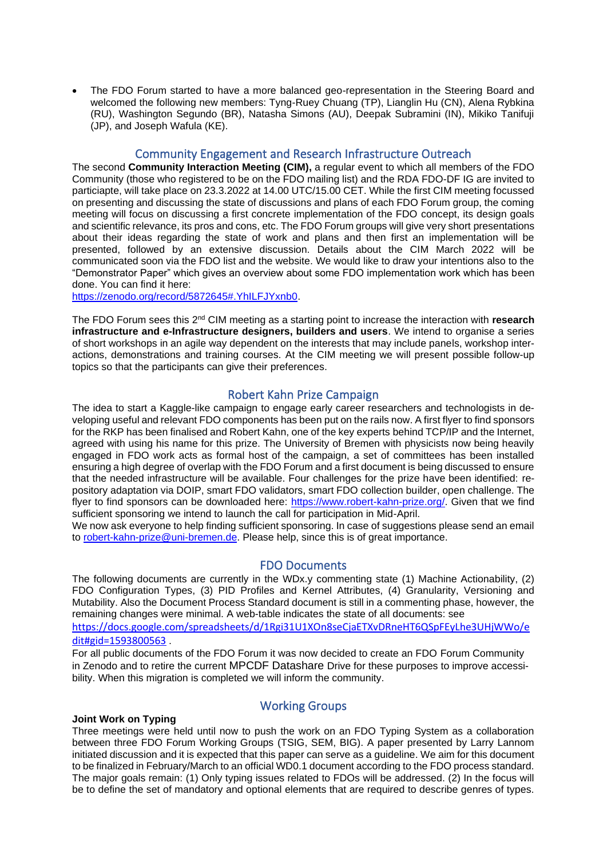• The FDO Forum started to have a more balanced geo-representation in the Steering Board and welcomed the following new members: Tyng-Ruey Chuang (TP), Lianglin Hu (CN), Alena Rybkina (RU), Washington Segundo (BR), Natasha Simons (AU), Deepak Subramini (IN), Mikiko Tanifuji (JP), and Joseph Wafula (KE).

### Community Engagement and Research Infrastructure Outreach

The second **Community Interaction Meeting (CIM),** a regular event to which all members of the FDO Community (those who registered to be on the FDO mailing list) and the RDA FDO-DF IG are invited to particiapte, will take place on 23.3.2022 at 14.00 UTC/15.00 CET. While the first CIM meeting focussed on presenting and discussing the state of discussions and plans of each FDO Forum group, the coming meeting will focus on discussing a first concrete implementation of the FDO concept, its design goals and scientific relevance, its pros and cons, etc. The FDO Forum groups will give very short presentations about their ideas regarding the state of work and plans and then first an implementation will be presented, followed by an extensive discussion. Details about the CIM March 2022 will be communicated soon via the FDO list and the website. We would like to draw your intentions also to the "Demonstrator Paper" which gives an overview about some FDO implementation work which has been done. You can find it here:

[https://zenodo.org/record/5872645#.YhILFJYxnb0.](https://zenodo.org/record/5872645#.YhILFJYxnb0)

The FDO Forum sees this 2<sup>nd</sup> CIM meeting as a starting point to increase the interaction with research **infrastructure and e-Infrastructure designers, builders and users**. We intend to organise a series of short workshops in an agile way dependent on the interests that may include panels, workshop interactions, demonstrations and training courses. At the CIM meeting we will present possible follow-up topics so that the participants can give their preferences.

# Robert Kahn Prize Campaign

The idea to start a Kaggle-like campaign to engage early career researchers and technologists in developing useful and relevant FDO components has been put on the rails now. A first flyer to find sponsors for the RKP has been finalised and Robert Kahn, one of the key experts behind TCP/IP and the Internet, agreed with using his name for this prize. The University of Bremen with physicists now being heavily engaged in FDO work acts as formal host of the campaign, a set of committees has been installed ensuring a high degree of overlap with the FDO Forum and a first document is being discussed to ensure that the needed infrastructure will be available. Four challenges for the prize have been identified: repository adaptation via DOIP, smart FDO validators, smart FDO collection builder, open challenge. The flyer to find sponsors can be downloaded here: [https://www.robert-kahn-prize.org/.](https://www.robert-kahn-prize.org/) Given that we find sufficient sponsoring we intend to launch the call for participation in Mid-April.

We now ask everyone to help finding sufficient sponsoring. In case of suggestions please send an email to [robert-kahn-prize@uni-bremen.de.](mailto:robert-kahn-prize@uni-bremen.de) Please help, since this is of great importance.

# FDO Documents

The following documents are currently in the WDx.y commenting state (1) Machine Actionability, (2) FDO Configuration Types, (3) PID Profiles and Kernel Attributes, (4) Granularity, Versioning and Mutability. Also the Document Process Standard document is still in a commenting phase, however, the remaining changes were minimal. A web-table indicates the state of all documents: see

[https://docs.google.com/spreadsheets/d/1Rgi31U1XOn8seCjaETXvDRneHT6QSpFEyLhe3UHjWWo/e](https://docs.google.com/spreadsheets/d/1Rgi31U1XOn8seCjaETXvDRneHT6QSpFEyLhe3UHjWWo/edit#gid=1593800563) [dit#gid=1593800563](https://docs.google.com/spreadsheets/d/1Rgi31U1XOn8seCjaETXvDRneHT6QSpFEyLhe3UHjWWo/edit#gid=1593800563) .

For all public documents of the FDO Forum it was now decided to create an FDO Forum Community in Zenodo and to retire the current MPCDF Datashare Drive for these purposes to improve accessibility. When this migration is completed we will inform the community.

#### **Joint Work on Typing**

# Working Groups

Three meetings were held until now to push the work on an FDO Typing System as a collaboration between three FDO Forum Working Groups (TSIG, SEM, BIG). A paper presented by Larry Lannom initiated discussion and it is expected that this paper can serve as a guideline. We aim for this document to be finalized in February/March to an official WD0.1 document according to the FDO process standard. The major goals remain: (1) Only typing issues related to FDOs will be addressed. (2) In the focus will be to define the set of mandatory and optional elements that are required to describe genres of types.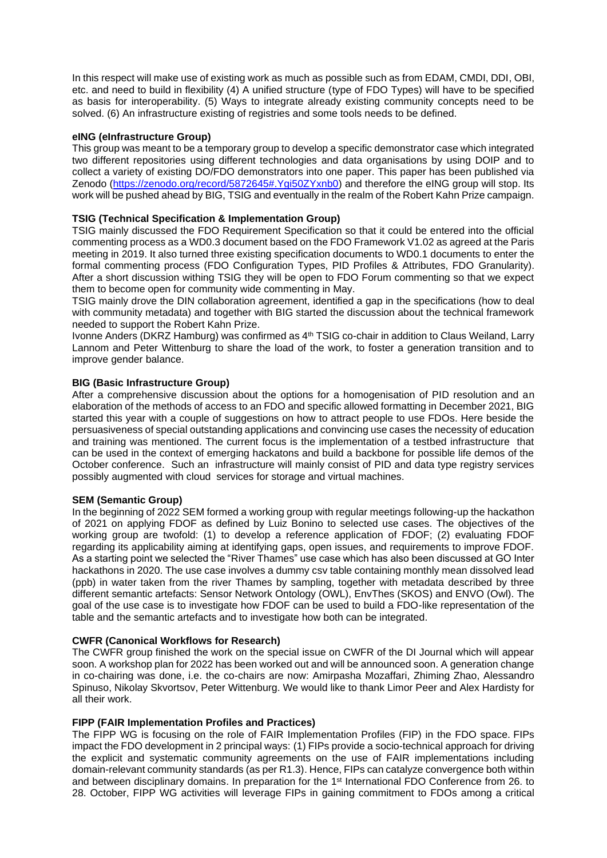In this respect will make use of existing work as much as possible such as from EDAM, CMDI, DDI, OBI, etc. and need to build in flexibility (4) A unified structure (type of FDO Types) will have to be specified as basis for interoperability. (5) Ways to integrate already existing community concepts need to be solved. (6) An infrastructure existing of registries and some tools needs to be defined.

#### **eING (eInfrastructure Group)**

This group was meant to be a temporary group to develop a specific demonstrator case which integrated two different repositories using different technologies and data organisations by using DOIP and to collect a variety of existing DO/FDO demonstrators into one paper. This paper has been published via Zenodo [\(https://zenodo.org/record/5872645#.Ygi50ZYxnb0\)](https://zenodo.org/record/5872645#.Ygi50ZYxnb0) and therefore the eING group will stop. Its work will be pushed ahead by BIG, TSIG and eventually in the realm of the Robert Kahn Prize campaign.

## **TSIG (Technical Specification & Implementation Group)**

TSIG mainly discussed the FDO Requirement Specification so that it could be entered into the official commenting process as a WD0.3 document based on the FDO Framework V1.02 as agreed at the Paris meeting in 2019. It also turned three existing specification documents to WD0.1 documents to enter the formal commenting process (FDO Configuration Types, PID Profiles & Attributes, FDO Granularity). After a short discussion withing TSIG they will be open to FDO Forum commenting so that we expect them to become open for community wide commenting in May.

TSIG mainly drove the DIN collaboration agreement, identified a gap in the specifications (how to deal with community metadata) and together with BIG started the discussion about the technical framework needed to support the Robert Kahn Prize.

Ivonne Anders (DKRZ Hamburg) was confirmed as 4<sup>th</sup> TSIG co-chair in addition to Claus Weiland, Larry Lannom and Peter Wittenburg to share the load of the work, to foster a generation transition and to improve gender balance.

#### **BIG (Basic Infrastructure Group)**

After a comprehensive discussion about the options for a homogenisation of PID resolution and an elaboration of the methods of access to an FDO and specific allowed formatting in December 2021, BIG started this year with a couple of suggestions on how to attract people to use FDOs. Here beside the persuasiveness of special outstanding applications and convincing use cases the necessity of education and training was mentioned. The current focus is the implementation of a testbed infrastructure that can be used in the context of emerging hackatons and build a backbone for possible life demos of the October conference. Such an infrastructure will mainly consist of PID and data type registry services possibly augmented with cloud services for storage and virtual machines.

#### **SEM (Semantic Group)**

In the beginning of 2022 SEM formed a working group with regular meetings following-up the hackathon of 2021 on applying FDOF as defined by Luiz Bonino to selected use cases. The objectives of the working group are twofold: (1) to develop a reference application of FDOF; (2) evaluating FDOF regarding its applicability aiming at identifying gaps, open issues, and requirements to improve FDOF. As a starting point we selected the "River Thames" use case which has also been discussed at GO Inter hackathons in 2020. The use case involves a dummy csv table containing monthly mean dissolved lead (ppb) in water taken from the river Thames by sampling, together with metadata described by three different semantic artefacts: Sensor Network Ontology (OWL), EnvThes (SKOS) and ENVO (Owl). The goal of the use case is to investigate how FDOF can be used to build a FDO-like representation of the table and the semantic artefacts and to investigate how both can be integrated.

#### **CWFR (Canonical Workflows for Research)**

The CWFR group finished the work on the special issue on CWFR of the DI Journal which will appear soon. A workshop plan for 2022 has been worked out and will be announced soon. A generation change in co-chairing was done, i.e. the co-chairs are now: Amirpasha Mozaffari, Zhiming Zhao, Alessandro Spinuso, Nikolay Skvortsov, Peter Wittenburg. We would like to thank Limor Peer and Alex Hardisty for all their work.

#### **FIPP (FAIR Implementation Profiles and Practices)**

The FIPP WG is focusing on the role of FAIR Implementation Profiles (FIP) in the FDO space. FIPs impact the FDO development in 2 principal ways: (1) FIPs provide a socio-technical approach for driving the explicit and systematic community agreements on the use of FAIR implementations including domain-relevant community standards (as per R1.3). Hence, FIPs can catalyze convergence both within and between disciplinary domains. In preparation for the 1<sup>st</sup> International FDO Conference from 26. to 28. October, FIPP WG activities will leverage FIPs in gaining commitment to FDOs among a critical